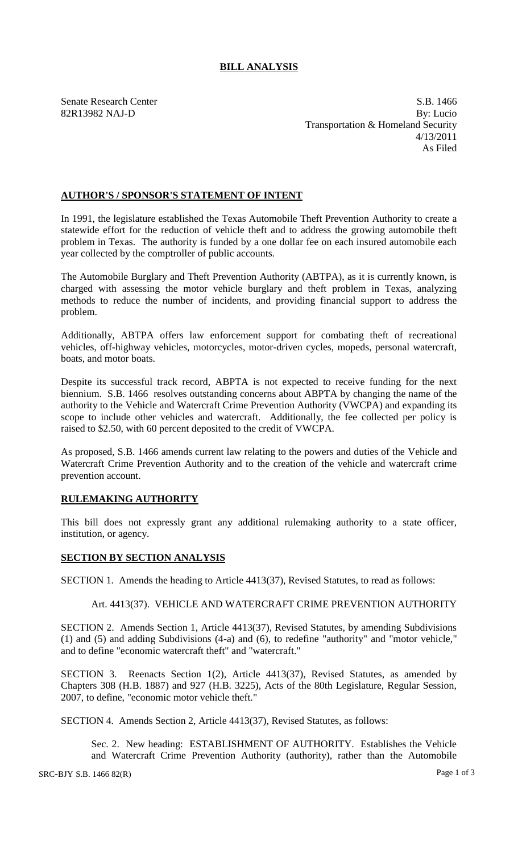# **BILL ANALYSIS**

Senate Research Center S.B. 1466 82R13982 NAJ-D By: Lucio Transportation & Homeland Security 4/13/2011 As Filed

## **AUTHOR'S / SPONSOR'S STATEMENT OF INTENT**

In 1991, the legislature established the Texas Automobile Theft Prevention Authority to create a statewide effort for the reduction of vehicle theft and to address the growing automobile theft problem in Texas. The authority is funded by a one dollar fee on each insured automobile each year collected by the comptroller of public accounts.

The Automobile Burglary and Theft Prevention Authority (ABTPA), as it is currently known, is charged with assessing the motor vehicle burglary and theft problem in Texas, analyzing methods to reduce the number of incidents, and providing financial support to address the problem.

Additionally, ABTPA offers law enforcement support for combating theft of recreational vehicles, off-highway vehicles, motorcycles, motor-driven cycles, mopeds, personal watercraft, boats, and motor boats.

Despite its successful track record, ABPTA is not expected to receive funding for the next biennium. S.B. 1466 resolves outstanding concerns about ABPTA by changing the name of the authority to the Vehicle and Watercraft Crime Prevention Authority (VWCPA) and expanding its scope to include other vehicles and watercraft. Additionally, the fee collected per policy is raised to \$2.50, with 60 percent deposited to the credit of VWCPA.

As proposed, S.B. 1466 amends current law relating to the powers and duties of the Vehicle and Watercraft Crime Prevention Authority and to the creation of the vehicle and watercraft crime prevention account.

### **RULEMAKING AUTHORITY**

This bill does not expressly grant any additional rulemaking authority to a state officer, institution, or agency.

#### **SECTION BY SECTION ANALYSIS**

SECTION 1. Amends the heading to Article 4413(37), Revised Statutes, to read as follows:

### Art. 4413(37). VEHICLE AND WATERCRAFT CRIME PREVENTION AUTHORITY

SECTION 2. Amends Section 1, Article 4413(37), Revised Statutes, by amending Subdivisions (1) and (5) and adding Subdivisions (4-a) and (6), to redefine "authority" and "motor vehicle," and to define "economic watercraft theft" and "watercraft."

SECTION 3. Reenacts Section 1(2), Article 4413(37), Revised Statutes, as amended by Chapters 308 (H.B. 1887) and 927 (H.B. 3225), Acts of the 80th Legislature, Regular Session, 2007, to define, "economic motor vehicle theft."

SECTION 4. Amends Section 2, Article 4413(37), Revised Statutes, as follows:

Sec. 2. New heading: ESTABLISHMENT OF AUTHORITY. Establishes the Vehicle and Watercraft Crime Prevention Authority (authority), rather than the Automobile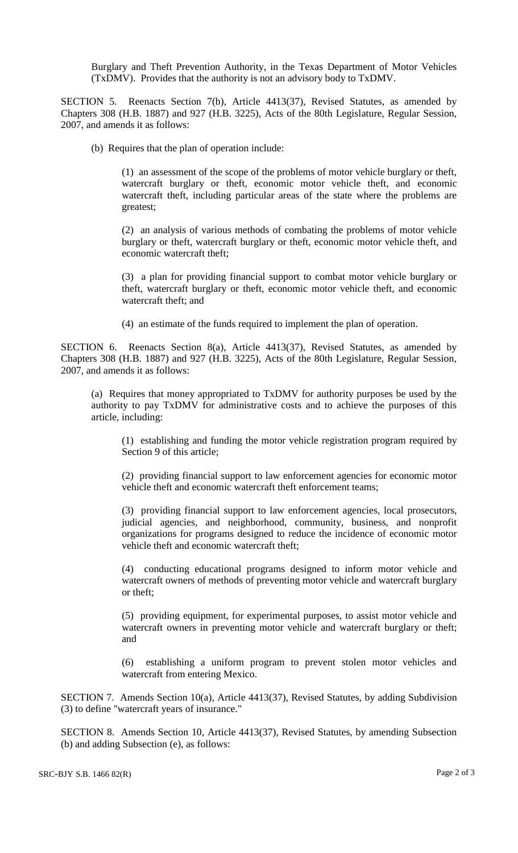Burglary and Theft Prevention Authority, in the Texas Department of Motor Vehicles (TxDMV). Provides that the authority is not an advisory body to TxDMV.

SECTION 5. Reenacts Section 7(b), Article 4413(37), Revised Statutes, as amended by Chapters 308 (H.B. 1887) and 927 (H.B. 3225), Acts of the 80th Legislature, Regular Session, 2007, and amends it as follows:

(b) Requires that the plan of operation include:

(1) an assessment of the scope of the problems of motor vehicle burglary or theft, watercraft burglary or theft, economic motor vehicle theft, and economic watercraft theft, including particular areas of the state where the problems are greatest;

(2) an analysis of various methods of combating the problems of motor vehicle burglary or theft, watercraft burglary or theft, economic motor vehicle theft, and economic watercraft theft;

(3) a plan for providing financial support to combat motor vehicle burglary or theft, watercraft burglary or theft, economic motor vehicle theft, and economic watercraft theft; and

(4) an estimate of the funds required to implement the plan of operation.

SECTION 6. Reenacts Section 8(a), Article 4413(37), Revised Statutes, as amended by Chapters 308 (H.B. 1887) and 927 (H.B. 3225), Acts of the 80th Legislature, Regular Session, 2007, and amends it as follows:

(a) Requires that money appropriated to TxDMV for authority purposes be used by the authority to pay TxDMV for administrative costs and to achieve the purposes of this article, including:

(1) establishing and funding the motor vehicle registration program required by Section 9 of this article;

(2) providing financial support to law enforcement agencies for economic motor vehicle theft and economic watercraft theft enforcement teams;

(3) providing financial support to law enforcement agencies, local prosecutors, judicial agencies, and neighborhood, community, business, and nonprofit organizations for programs designed to reduce the incidence of economic motor vehicle theft and economic watercraft theft;

(4) conducting educational programs designed to inform motor vehicle and watercraft owners of methods of preventing motor vehicle and watercraft burglary or theft;

(5) providing equipment, for experimental purposes, to assist motor vehicle and watercraft owners in preventing motor vehicle and watercraft burglary or theft; and

(6) establishing a uniform program to prevent stolen motor vehicles and watercraft from entering Mexico.

SECTION 7. Amends Section 10(a), Article 4413(37), Revised Statutes, by adding Subdivision (3) to define "watercraft years of insurance."

SECTION 8. Amends Section 10, Article 4413(37), Revised Statutes, by amending Subsection (b) and adding Subsection (e), as follows: